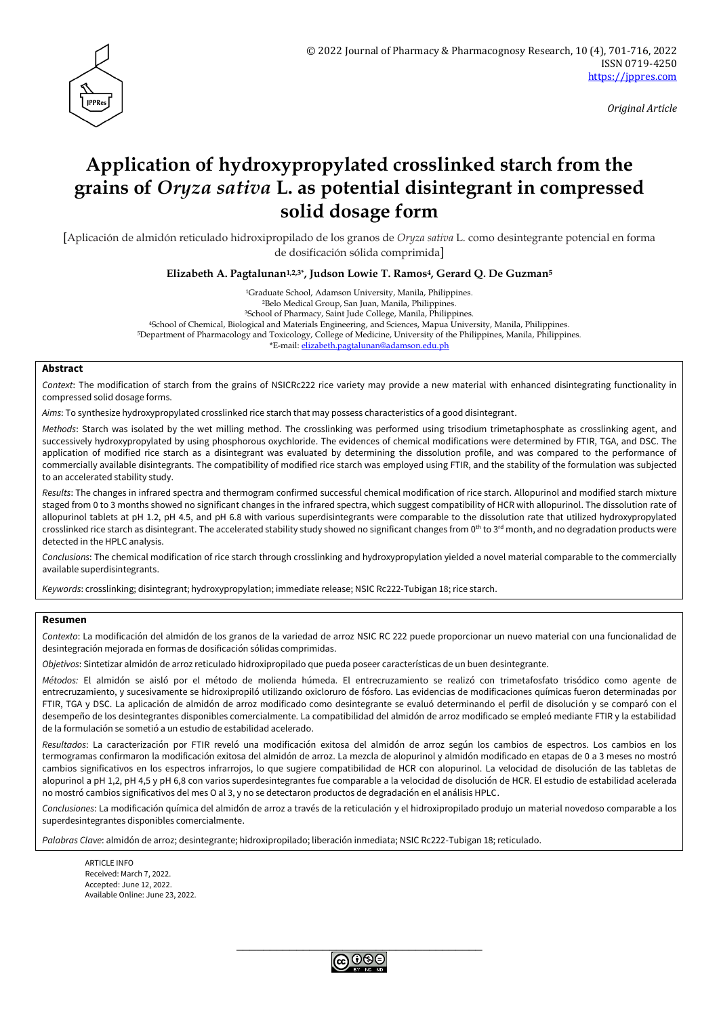

*Original Article*

# **Application of hydroxypropylated crosslinked starch from the grains of** *Oryza sativa* **L. as potential disintegrant in compressed solid dosage form**

[Aplicación de almidón reticulado hidroxipropilado de los granos de *Oryza sativa* L. como desintegrante potencial en forma de dosificación sólida comprimida]

**Elizabeth A. Pagtalunan1,2,3\* , Judson Lowie T. Ramos4, Gerard Q. De Guzman<sup>5</sup>**

Graduate School, Adamson University, Manila, Philippines. Belo Medical Group, San Juan, Manila, Philippines. School of Pharmacy, Saint Jude College, Manila, Philippines. School of Chemical, Biological and Materials Engineering, and Sciences, Mapua University, Manila, Philippines. Department of Pharmacology and Toxicology, College of Medicine, University of the Philippines, Manila, Philippines. \*E-mail: [elizabeth.pagtalunan@adamson.edu.ph](mailto:elizabeth.pagtalunan@adamson.edu.ph)

#### **Abstract**

*Context*: The modification of starch from the grains of NSICRc222 rice variety may provide a new material with enhanced disintegrating functionality in compressed solid dosage forms.

*Aims*: To synthesize hydroxypropylated crosslinked rice starch that may possess characteristics of a good disintegrant.

*Methods*: Starch was isolated by the wet milling method. The crosslinking was performed using trisodium trimetaphosphate as crosslinking agent, and successively hydroxypropylated by using phosphorous oxychloride. The evidences of chemical modifications were determined by FTIR, TGA, and DSC. The application of modified rice starch as a disintegrant was evaluated by determining the dissolution profile, and was compared to the performance of commercially available disintegrants. The compatibility of modified rice starch was employed using FTIR, and the stability of the formulation was subjected to an accelerated stability study.

*Results*: The changes in infrared spectra and thermogram confirmed successful chemical modification of rice starch. Allopurinol and modified starch mixture staged from 0 to 3 months showed no significant changes in the infrared spectra, which suggest compatibility of HCR with allopurinol. The dissolution rate of allopurinol tablets at pH 1.2, pH 4.5, and pH 6.8 with various superdisintegrants were comparable to the dissolution rate that utilized hydroxypropylated crosslinked rice starch as disintegrant. The accelerated stability study showed no significant changes from 0<sup>th</sup> to 3<sup>rd</sup> month, and no degradation products were detected in the HPLC analysis.

*Conclusions*: The chemical modification of rice starch through crosslinking and hydroxypropylation yielded a novel material comparable to the commercially available superdisintegrants.

*Keywords*: crosslinking; disintegrant; hydroxypropylation; immediate release; NSIC Rc222-Tubigan 18; rice starch.

#### **Resumen**

*Contexto*: La modificación del almidón de los granos de la variedad de arroz NSIC RC 222 puede proporcionar un nuevo material con una funcionalidad de desintegración mejorada en formas de dosificación sólidas comprimidas.

*Objetivos*: Sintetizar almidón de arroz reticulado hidroxipropilado que pueda poseer características de un buen desintegrante.

*Métodos:* El almidón se aisló por el método de molienda húmeda. El entrecruzamiento se realizó con trimetafosfato trisódico como agente de entrecruzamiento, y sucesivamente se hidroxipropiló utilizando oxicloruro de fósforo. Las evidencias de modificaciones químicas fueron determinadas por FTIR, TGA y DSC. La aplicación de almidón de arroz modificado como desintegrante se evaluó determinando el perfil de disolución y se comparó con el desempeño de los desintegrantes disponibles comercialmente. La compatibilidad del almidón de arroz modificado se empleó mediante FTIR y la estabilidad de la formulación se sometió a un estudio de estabilidad acelerado.

*Resultados*: La caracterización por FTIR reveló una modificación exitosa del almidón de arroz según los cambios de espectros. Los cambios en los termogramas confirmaron la modificación exitosa del almidón de arroz. La mezcla de alopurinol y almidón modificado en etapas de 0 a 3 meses no mostró cambios significativos en los espectros infrarrojos, lo que sugiere compatibilidad de HCR con alopurinol. La velocidad de disolución de las tabletas de alopurinol a pH 1,2, pH 4,5 y pH 6,8 con varios superdesintegrantes fue comparable a la velocidad de disolución de HCR. El estudio de estabilidad acelerada no mostró cambios significativos del mes O al 3, y no se detectaron productos de degradación en el análisis HPLC.

*Conclusiones*: La modificación química del almidón de arroz a través de la reticulación y el hidroxipropilado produjo un material novedoso comparable a los superdesintegrantes disponibles comercialmente.

*Palabras Clave*: almidón de arroz; desintegrante; hidroxipropilado; liberación inmediata; NSIC Rc222-Tubigan 18; reticulado.

**ARTICLE INFO** Received: March 7, 2022. Accepted: June 12, 2022. Available Online: June 23, 2022.

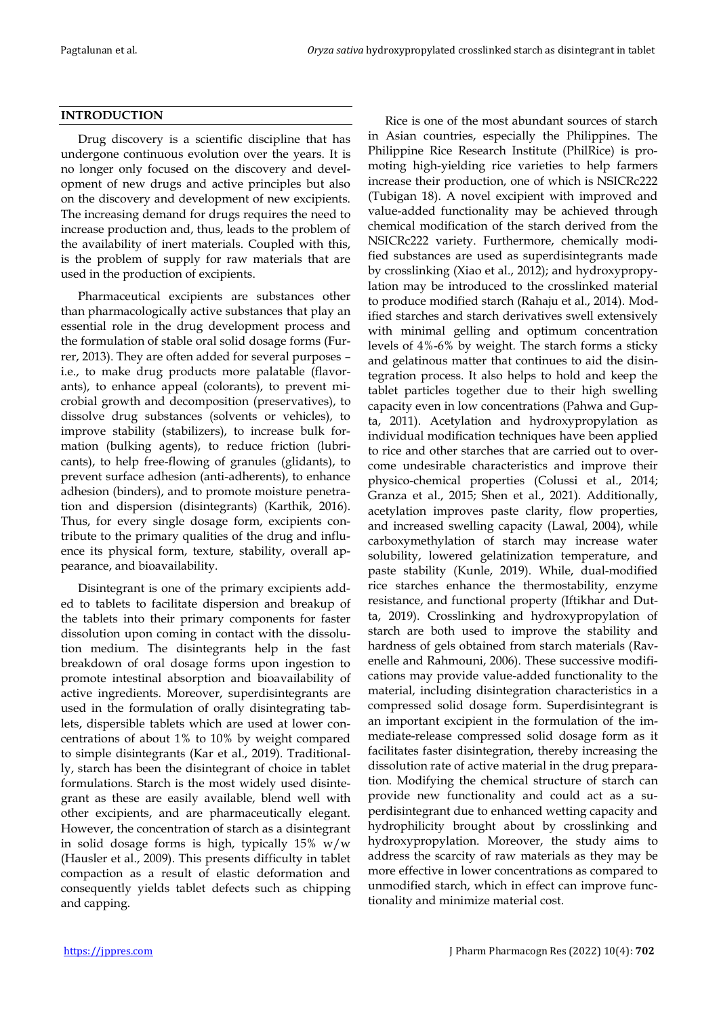## **INTRODUCTION**

Drug discovery is a scientific discipline that has undergone continuous evolution over the years. It is no longer only focused on the discovery and development of new drugs and active principles but also on the discovery and development of new excipients. The increasing demand for drugs requires the need to increase production and, thus, leads to the problem of the availability of inert materials. Coupled with this, is the problem of supply for raw materials that are used in the production of excipients.

Pharmaceutical excipients are substances other than pharmacologically active substances that play an essential role in the drug development process and the formulation of stable oral solid dosage forms (Furrer, 2013). They are often added for several purposes – i.e., to make drug products more palatable (flavorants), to enhance appeal (colorants), to prevent microbial growth and decomposition (preservatives), to dissolve drug substances (solvents or vehicles), to improve stability (stabilizers), to increase bulk formation (bulking agents), to reduce friction (lubricants), to help free-flowing of granules (glidants), to prevent surface adhesion (anti-adherents), to enhance adhesion (binders), and to promote moisture penetration and dispersion (disintegrants) (Karthik, 2016). Thus, for every single dosage form, excipients contribute to the primary qualities of the drug and influence its physical form, texture, stability, overall appearance, and bioavailability.

Disintegrant is one of the primary excipients added to tablets to facilitate dispersion and breakup of the tablets into their primary components for faster dissolution upon coming in contact with the dissolution medium. The disintegrants help in the fast breakdown of oral dosage forms upon ingestion to promote intestinal absorption and bioavailability of active ingredients. Moreover, superdisintegrants are used in the formulation of orally disintegrating tablets, dispersible tablets which are used at lower concentrations of about 1% to 10% by weight compared to simple disintegrants (Kar et al., 2019). Traditionally, starch has been the disintegrant of choice in tablet formulations. Starch is the most widely used disintegrant as these are easily available, blend well with other excipients, and are pharmaceutically elegant. However, the concentration of starch as a disintegrant in solid dosage forms is high, typically  $15\%$  w/w (Hausler et al., 2009). This presents difficulty in tablet compaction as a result of elastic deformation and consequently yields tablet defects such as chipping and capping.

Rice is one of the most abundant sources of starch in Asian countries, especially the Philippines. The Philippine Rice Research Institute (PhilRice) is promoting high-yielding rice varieties to help farmers increase their production, one of which is NSICRc222 (Tubigan 18). A novel excipient with improved and value-added functionality may be achieved through chemical modification of the starch derived from the NSICRc222 variety. Furthermore, chemically modified substances are used as superdisintegrants made by crosslinking (Xiao et al., 2012); and hydroxypropylation may be introduced to the crosslinked material to produce modified starch (Rahaju et al., 2014). Modified starches and starch derivatives swell extensively with minimal gelling and optimum concentration levels of 4%-6% by weight. The starch forms a sticky and gelatinous matter that continues to aid the disintegration process. It also helps to hold and keep the tablet particles together due to their high swelling capacity even in low concentrations (Pahwa and Gupta, 2011). Acetylation and hydroxypropylation as individual modification techniques have been applied to rice and other starches that are carried out to overcome undesirable characteristics and improve their physico-chemical properties (Colussi et al., 2014; Granza et al., 2015; Shen et al., 2021). Additionally, acetylation improves paste clarity, flow properties, and increased swelling capacity (Lawal, 2004), while carboxymethylation of starch may increase water solubility, lowered gelatinization temperature, and paste stability (Kunle, 2019). While, dual-modified rice starches enhance the thermostability, enzyme resistance, and functional property (Iftikhar and Dutta, 2019). Crosslinking and hydroxypropylation of starch are both used to improve the stability and hardness of gels obtained from starch materials (Ravenelle and Rahmouni, 2006). These successive modifications may provide value-added functionality to the material, including disintegration characteristics in a compressed solid dosage form. Superdisintegrant is an important excipient in the formulation of the immediate-release compressed solid dosage form as it facilitates faster disintegration, thereby increasing the dissolution rate of active material in the drug preparation. Modifying the chemical structure of starch can provide new functionality and could act as a superdisintegrant due to enhanced wetting capacity and hydrophilicity brought about by crosslinking and hydroxypropylation. Moreover, the study aims to address the scarcity of raw materials as they may be more effective in lower concentrations as compared to unmodified starch, which in effect can improve functionality and minimize material cost.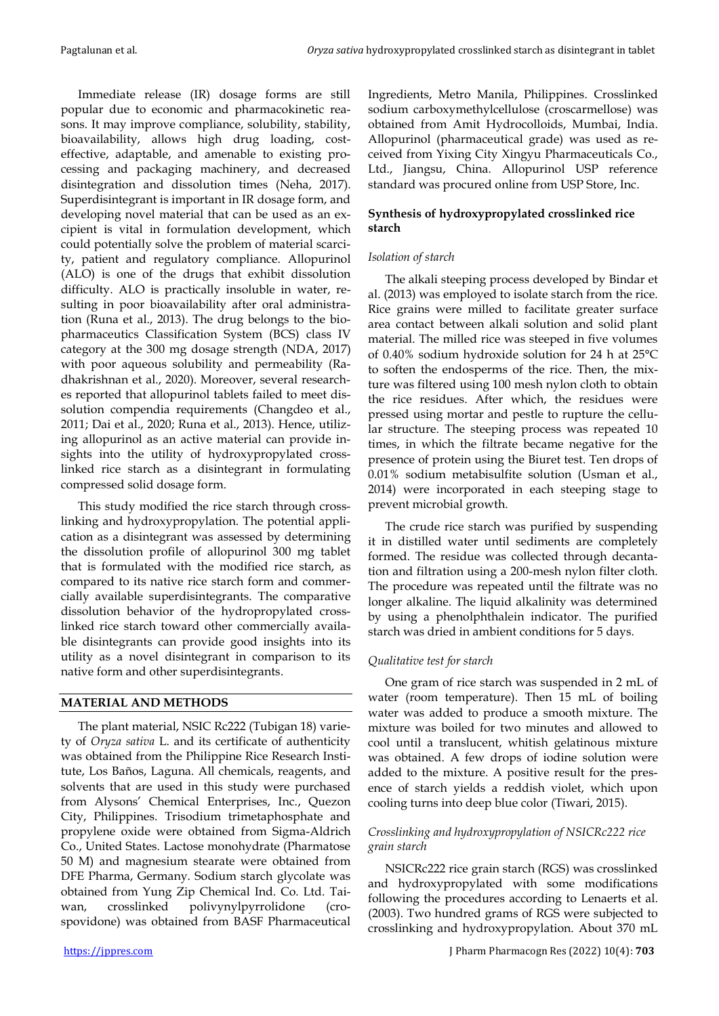Immediate release (IR) dosage forms are still popular due to economic and pharmacokinetic reasons. It may improve compliance, solubility, stability, bioavailability, allows high drug loading, costeffective, adaptable, and amenable to existing processing and packaging machinery, and decreased disintegration and dissolution times (Neha, 2017). Superdisintegrant is important in IR dosage form, and developing novel material that can be used as an excipient is vital in formulation development, which could potentially solve the problem of material scarcity, patient and regulatory compliance. Allopurinol (ALO) is one of the drugs that exhibit dissolution difficulty. ALO is practically insoluble in water, resulting in poor bioavailability after oral administration (Runa et al., 2013). The drug belongs to the biopharmaceutics Classification System (BCS) class IV category at the 300 mg dosage strength (NDA, 2017) with poor aqueous solubility and permeability (Radhakrishnan et al., 2020). Moreover, several researches reported that allopurinol tablets failed to meet dissolution compendia requirements (Changdeo et al., 2011; Dai et al., 2020; Runa et al., 2013). Hence, utilizing allopurinol as an active material can provide insights into the utility of hydroxypropylated crosslinked rice starch as a disintegrant in formulating compressed solid dosage form.

This study modified the rice starch through crosslinking and hydroxypropylation. The potential application as a disintegrant was assessed by determining the dissolution profile of allopurinol 300 mg tablet that is formulated with the modified rice starch, as compared to its native rice starch form and commercially available superdisintegrants. The comparative dissolution behavior of the hydropropylated crosslinked rice starch toward other commercially available disintegrants can provide good insights into its utility as a novel disintegrant in comparison to its native form and other superdisintegrants.

# **MATERIAL AND METHODS**

The plant material, NSIC Rc222 (Tubigan 18) variety of *Oryza sativa* L. and its certificate of authenticity was obtained from the Philippine Rice Research Institute, Los Baños, Laguna. All chemicals, reagents, and solvents that are used in this study were purchased from Alysons' Chemical Enterprises, Inc., Quezon City, Philippines. Trisodium trimetaphosphate and propylene oxide were obtained from Sigma-Aldrich Co., United States. Lactose monohydrate (Pharmatose 50 M) and magnesium stearate were obtained from DFE Pharma, Germany. Sodium starch glycolate was obtained from Yung Zip Chemical Ind. Co. Ltd. Taiwan, crosslinked polivynylpyrrolidone (crospovidone) was obtained from BASF Pharmaceutical Ingredients, Metro Manila, Philippines. Crosslinked sodium carboxymethylcellulose (croscarmellose) was obtained from Amit Hydrocolloids, Mumbai, India. Allopurinol (pharmaceutical grade) was used as received from Yixing City Xingyu Pharmaceuticals Co., Ltd., Jiangsu, China. Allopurinol USP reference standard was procured online from USP Store, Inc.

# **Synthesis of hydroxypropylated crosslinked rice starch**

# *Isolation of starch*

The alkali steeping process developed by Bindar et al. (2013) was employed to isolate starch from the rice. Rice grains were milled to facilitate greater surface area contact between alkali solution and solid plant material. The milled rice was steeped in five volumes of 0.40% sodium hydroxide solution for 24 h at 25°C to soften the endosperms of the rice. Then, the mixture was filtered using 100 mesh nylon cloth to obtain the rice residues. After which, the residues were pressed using mortar and pestle to rupture the cellular structure. The steeping process was repeated 10 times, in which the filtrate became negative for the presence of protein using the Biuret test. Ten drops of 0.01% sodium metabisulfite solution (Usman et al., 2014) were incorporated in each steeping stage to prevent microbial growth.

The crude rice starch was purified by suspending it in distilled water until sediments are completely formed. The residue was collected through decantation and filtration using a 200-mesh nylon filter cloth. The procedure was repeated until the filtrate was no longer alkaline. The liquid alkalinity was determined by using a phenolphthalein indicator. The purified starch was dried in ambient conditions for 5 days.

# *Qualitative test for starch*

One gram of rice starch was suspended in 2 mL of water (room temperature). Then 15 mL of boiling water was added to produce a smooth mixture. The mixture was boiled for two minutes and allowed to cool until a translucent, whitish gelatinous mixture was obtained. A few drops of iodine solution were added to the mixture. A positive result for the presence of starch yields a reddish violet, which upon cooling turns into deep blue color (Tiwari, 2015).

# *Crosslinking and hydroxypropylation of NSICRc222 rice grain starch*

NSICRc222 rice grain starch (RGS) was crosslinked and hydroxypropylated with some modifications following the procedures according to Lenaerts et al. (2003). Two hundred grams of RGS were subjected to crosslinking and hydroxypropylation. About 370 mL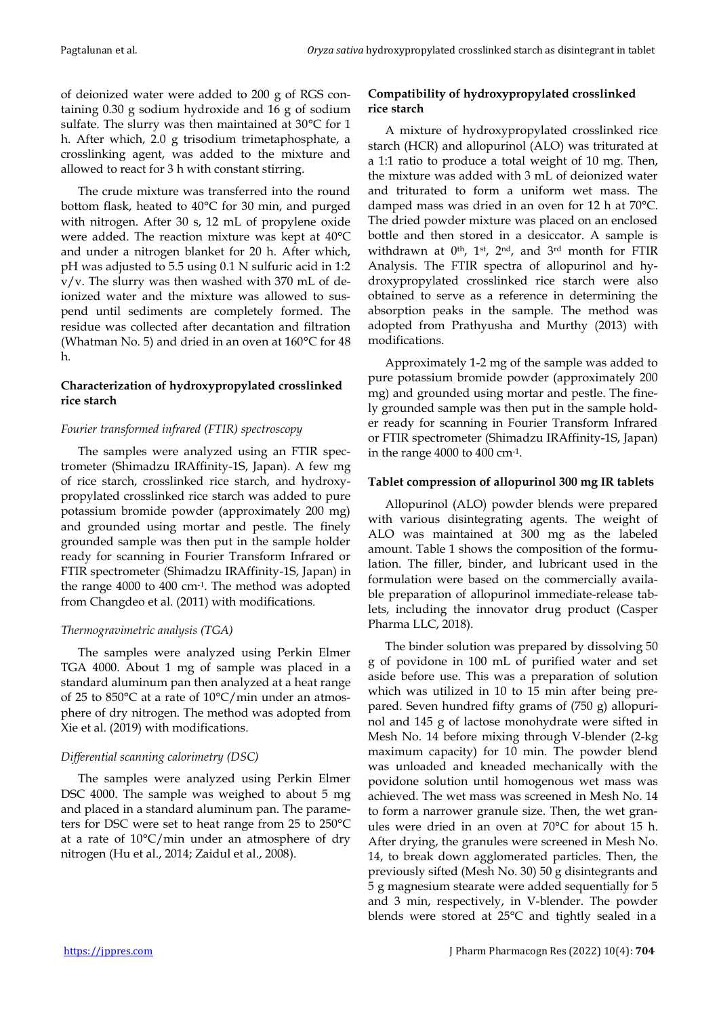of deionized water were added to 200 g of RGS containing 0.30 g sodium hydroxide and 16 g of sodium sulfate. The slurry was then maintained at 30°C for 1 h. After which, 2.0 g trisodium trimetaphosphate, a crosslinking agent, was added to the mixture and allowed to react for 3 h with constant stirring.

The crude mixture was transferred into the round bottom flask, heated to 40°C for 30 min, and purged with nitrogen. After 30 s, 12 mL of propylene oxide were added. The reaction mixture was kept at 40°C and under a nitrogen blanket for 20 h. After which, pH was adjusted to 5.5 using 0.1 N sulfuric acid in 1:2 v/v. The slurry was then washed with 370 mL of deionized water and the mixture was allowed to suspend until sediments are completely formed. The residue was collected after decantation and filtration (Whatman No. 5) and dried in an oven at  $160^{\circ}$ C for 48 h.

# **Characterization of hydroxypropylated crosslinked rice starch**

# *Fourier transformed infrared (FTIR) spectroscopy*

The samples were analyzed using an FTIR spectrometer (Shimadzu IRAffinity-1S, Japan). A few mg of rice starch, crosslinked rice starch, and hydroxypropylated crosslinked rice starch was added to pure potassium bromide powder (approximately 200 mg) and grounded using mortar and pestle. The finely grounded sample was then put in the sample holder ready for scanning in Fourier Transform Infrared or FTIR spectrometer (Shimadzu IRAffinity-1S, Japan) in the range 4000 to 400 cm-1 . The method was adopted from Changdeo et al. (2011) with modifications.

# *Thermogravimetric analysis (TGA)*

The samples were analyzed using Perkin Elmer TGA 4000. About 1 mg of sample was placed in a standard aluminum pan then analyzed at a heat range of 25 to 850°C at a rate of 10°C/min under an atmosphere of dry nitrogen. The method was adopted from Xie et al. (2019) with modifications.

# *Differential scanning calorimetry (DSC)*

The samples were analyzed using Perkin Elmer DSC 4000. The sample was weighed to about 5 mg and placed in a standard aluminum pan. The parameters for DSC were set to heat range from 25 to 250°C at a rate of 10°C/min under an atmosphere of dry nitrogen (Hu et al., 2014; Zaidul et al., 2008).

# **Compatibility of hydroxypropylated crosslinked rice starch**

A mixture of hydroxypropylated crosslinked rice starch (HCR) and allopurinol (ALO) was triturated at a 1:1 ratio to produce a total weight of 10 mg. Then, the mixture was added with 3 mL of deionized water and triturated to form a uniform wet mass. The damped mass was dried in an oven for 12 h at 70°C. The dried powder mixture was placed on an enclosed bottle and then stored in a desiccator. A sample is withdrawn at  $0<sup>th</sup>$ , 1<sup>st</sup>, 2<sup>nd</sup>, and 3<sup>rd</sup> month for FTIR Analysis. The FTIR spectra of allopurinol and hydroxypropylated crosslinked rice starch were also obtained to serve as a reference in determining the absorption peaks in the sample. The method was adopted from Prathyusha and Murthy (2013) with modifications.

Approximately 1-2 mg of the sample was added to pure potassium bromide powder (approximately 200 mg) and grounded using mortar and pestle. The finely grounded sample was then put in the sample holder ready for scanning in Fourier Transform Infrared or FTIR spectrometer (Shimadzu IRAffinity-1S, Japan) in the range 4000 to 400 cm-1 .

## **Tablet compression of allopurinol 300 mg IR tablets**

Allopurinol (ALO) powder blends were prepared with various disintegrating agents. The weight of ALO was maintained at 300 mg as the labeled amount. Table 1 shows the composition of the formulation. The filler, binder, and lubricant used in the formulation were based on the commercially available preparation of allopurinol immediate-release tablets, including the innovator drug product (Casper Pharma LLC, 2018).

The binder solution was prepared by dissolving 50 g of povidone in 100 mL of purified water and set aside before use. This was a preparation of solution which was utilized in 10 to 15 min after being prepared. Seven hundred fifty grams of (750 g) allopurinol and 145 g of lactose monohydrate were sifted in Mesh No. 14 before mixing through V-blender (2-kg maximum capacity) for 10 min. The powder blend was unloaded and kneaded mechanically with the povidone solution until homogenous wet mass was achieved. The wet mass was screened in Mesh No. 14 to form a narrower granule size. Then, the wet granules were dried in an oven at 70°C for about 15 h. After drying, the granules were screened in Mesh No. 14, to break down agglomerated particles. Then, the previously sifted (Mesh No. 30) 50 g disintegrants and 5 g magnesium stearate were added sequentially for 5 and 3 min, respectively, in V-blender. The powder blends were stored at 25°C and tightly sealed in a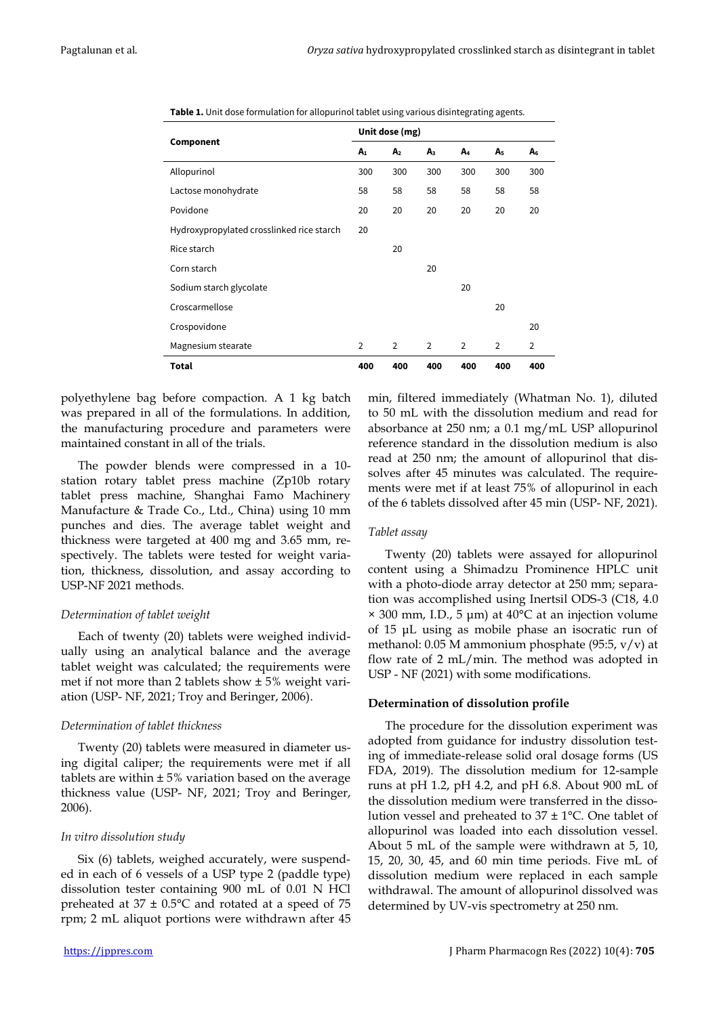| Table 1. Unit dose formulation for allopurinol tablet using various disintegrating agents. |  |
|--------------------------------------------------------------------------------------------|--|
|--------------------------------------------------------------------------------------------|--|

|                                           | Unit dose (mg) |                |                |                |                |                |
|-------------------------------------------|----------------|----------------|----------------|----------------|----------------|----------------|
| Component                                 | A <sub>1</sub> | A <sub>2</sub> | A <sub>3</sub> | A4             | A <sub>5</sub> | A <sub>6</sub> |
| Allopurinol                               | 300            | 300            | 300            | 300            | 300            | 300            |
| Lactose monohydrate                       | 58             | 58             | 58             | 58             | 58             | 58             |
| Povidone                                  | 20             | 20             | 20             | 20             | 20             | 20             |
| Hydroxypropylated crosslinked rice starch | 20             |                |                |                |                |                |
| Rice starch                               |                | 20             |                |                |                |                |
| Corn starch                               |                |                | 20             |                |                |                |
| Sodium starch glycolate                   |                |                |                | 20             |                |                |
| Croscarmellose                            |                |                |                |                | 20             |                |
| Crospovidone                              |                |                |                |                |                | 20             |
| Magnesium stearate                        | $\overline{2}$ | $\overline{2}$ | $\overline{2}$ | $\overline{2}$ | $\overline{2}$ | 2              |
| <b>Total</b>                              | 400            | 400            | 400            | 400            | 400            | 400            |

polyethylene bag before compaction. A 1 kg batch was prepared in all of the formulations. In addition, the manufacturing procedure and parameters were maintained constant in all of the trials.

The powder blends were compressed in a 10 station rotary tablet press machine (Zp10b rotary tablet press machine, Shanghai Famo Machinery Manufacture & Trade Co., Ltd., China) using 10 mm punches and dies. The average tablet weight and thickness were targeted at 400 mg and 3.65 mm, respectively. The tablets were tested for weight variation, thickness, dissolution, and assay according to USP-NF 2021 methods.

#### *Determination of tablet weight*

Each of twenty (20) tablets were weighed individually using an analytical balance and the average tablet weight was calculated; the requirements were met if not more than 2 tablets show ± 5% weight variation (USP- NF, 2021; Troy and Beringer, 2006).

#### *Determination of tablet thickness*

Twenty (20) tablets were measured in diameter using digital caliper; the requirements were met if all tablets are within  $\pm$  5% variation based on the average thickness value (USP- NF, 2021; Troy and Beringer, 2006).

#### *In vitro dissolution study*

Six (6) tablets, weighed accurately, were suspended in each of 6 vessels of a USP type 2 (paddle type) dissolution tester containing 900 mL of 0.01 N HCl preheated at  $37 \pm 0.5$ °C and rotated at a speed of 75 rpm; 2 mL aliquot portions were withdrawn after 45

min, filtered immediately (Whatman No. 1), diluted to 50 mL with the dissolution medium and read for absorbance at 250 nm; a 0.1 mg/mL USP allopurinol reference standard in the dissolution medium is also read at 250 nm; the amount of allopurinol that dissolves after 45 minutes was calculated. The requirements were met if at least 75% of allopurinol in each of the 6 tablets dissolved after 45 min (USP- NF, 2021).

## *Tablet assay*

Twenty (20) tablets were assayed for allopurinol content using a Shimadzu Prominence HPLC unit with a photo-diode array detector at 250 mm; separation was accomplished using Inertsil ODS-3 (C18, 4.0  $\times$  300 mm, I.D., 5 µm) at 40 $\degree$ C at an injection volume of 15 μL using as mobile phase an isocratic run of methanol: 0.05 M ammonium phosphate (95:5, v/v) at flow rate of 2 mL/min. The method was adopted in USP - NF (2021) with some modifications.

#### **Determination of dissolution profile**

The procedure for the dissolution experiment was adopted from guidance for industry dissolution testing of immediate-release solid oral dosage forms (US FDA, 2019). The dissolution medium for 12-sample runs at pH 1.2, pH 4.2, and pH 6.8. About 900 mL of the dissolution medium were transferred in the dissolution vessel and preheated to  $37 \pm 1^{\circ}$ C. One tablet of allopurinol was loaded into each dissolution vessel. About 5 mL of the sample were withdrawn at 5, 10, 15, 20, 30, 45, and 60 min time periods. Five mL of dissolution medium were replaced in each sample withdrawal. The amount of allopurinol dissolved was determined by UV-vis spectrometry at 250 nm.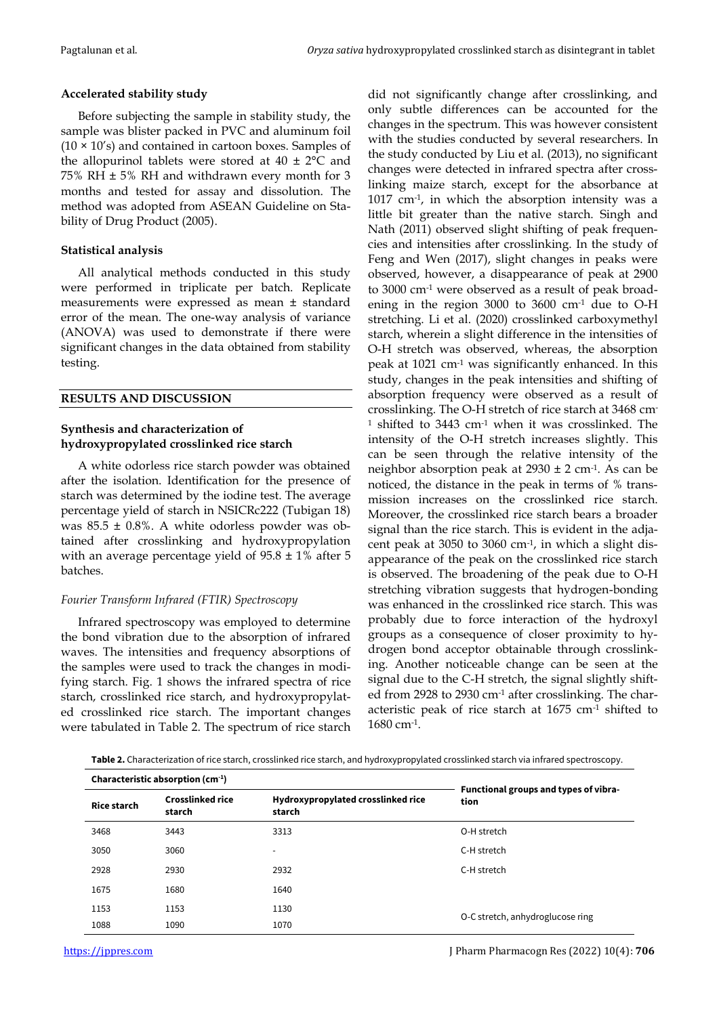## **Accelerated stability study**

Before subjecting the sample in stability study, the sample was blister packed in PVC and aluminum foil  $(10 \times 10's)$  and contained in cartoon boxes. Samples of the allopurinol tablets were stored at  $40 \pm 2^{\circ}$ C and 75% RH ± 5% RH and withdrawn every month for 3 months and tested for assay and dissolution. The method was adopted from ASEAN Guideline on Stability of Drug Product (2005).

## **Statistical analysis**

All analytical methods conducted in this study were performed in triplicate per batch. Replicate measurements were expressed as mean ± standard error of the mean. The one-way analysis of variance (ANOVA) was used to demonstrate if there were significant changes in the data obtained from stability testing.

## **RESULTS AND DISCUSSION**

## **Synthesis and characterization of hydroxypropylated crosslinked rice starch**

A white odorless rice starch powder was obtained after the isolation. Identification for the presence of starch was determined by the iodine test. The average percentage yield of starch in NSICRc222 (Tubigan 18) was  $85.5 \pm 0.8$ %. A white odorless powder was obtained after crosslinking and hydroxypropylation with an average percentage yield of  $95.8 \pm 1\%$  after 5 batches.

# *Fourier Transform Infrared (FTIR) Spectroscopy*

Infrared spectroscopy was employed to determine the bond vibration due to the absorption of infrared waves. The intensities and frequency absorptions of the samples were used to track the changes in modifying starch. Fig. 1 shows the infrared spectra of rice starch, crosslinked rice starch, and hydroxypropylated crosslinked rice starch. The important changes were tabulated in Table 2. The spectrum of rice starch

did not significantly change after crosslinking, and only subtle differences can be accounted for the changes in the spectrum. This was however consistent with the studies conducted by several researchers. In the study conducted by Liu et al. (2013), no significant changes were detected in infrared spectra after crosslinking maize starch, except for the absorbance at 1017 cm-1 , in which the absorption intensity was a little bit greater than the native starch. Singh and Nath (2011) observed slight shifting of peak frequencies and intensities after crosslinking. In the study of Feng and Wen (2017), slight changes in peaks were observed, however, a disappearance of peak at 2900 to 3000 cm-1 were observed as a result of peak broadening in the region 3000 to 3600  $cm<sup>-1</sup>$  due to O-H stretching. Li et al. (2020) crosslinked carboxymethyl starch, wherein a slight difference in the intensities of O-H stretch was observed, whereas, the absorption peak at  $1021$  cm<sup>-1</sup> was significantly enhanced. In this study, changes in the peak intensities and shifting of absorption frequency were observed as a result of crosslinking. The O-H stretch of rice starch at 3468 cm- $1$  shifted to 3443 cm $1$  when it was crosslinked. The intensity of the O-H stretch increases slightly. This can be seen through the relative intensity of the neighbor absorption peak at 2930 ± 2 cm-1 . As can be noticed, the distance in the peak in terms of % transmission increases on the crosslinked rice starch. Moreover, the crosslinked rice starch bears a broader signal than the rice starch. This is evident in the adjacent peak at 3050 to 3060 cm-1 , in which a slight disappearance of the peak on the crosslinked rice starch is observed. The broadening of the peak due to O-H stretching vibration suggests that hydrogen-bonding was enhanced in the crosslinked rice starch. This was probably due to force interaction of the hydroxyl groups as a consequence of closer proximity to hydrogen bond acceptor obtainable through crosslinking. Another noticeable change can be seen at the signal due to the C-H stretch, the signal slightly shifted from 2928 to 2930 cm-1 after crosslinking. The characteristic peak of rice starch at 1675 cm-1 shifted to 1680 cm-1 .

**Table 2.** Characterization of rice starch, crosslinked rice starch, and hydroxypropylated crosslinked starch via infrared spectroscopy.

|                    | Characteristic absorption $(cm-1)$ |                                              |                                               |
|--------------------|------------------------------------|----------------------------------------------|-----------------------------------------------|
| <b>Rice starch</b> | <b>Crosslinked rice</b><br>starch  | Hydroxypropylated crosslinked rice<br>starch | Functional groups and types of vibra-<br>tion |
| 3468               | 3443                               | 3313                                         | O-H stretch                                   |
| 3050               | 3060                               |                                              | C-H stretch                                   |
| 2928               | 2930                               | 2932                                         | C-H stretch                                   |
| 1675               | 1680                               | 1640                                         |                                               |
| 1153               | 1153                               | 1130                                         | O-C stretch, anhydroglucose ring              |
| 1088               | 1090                               | 1070                                         |                                               |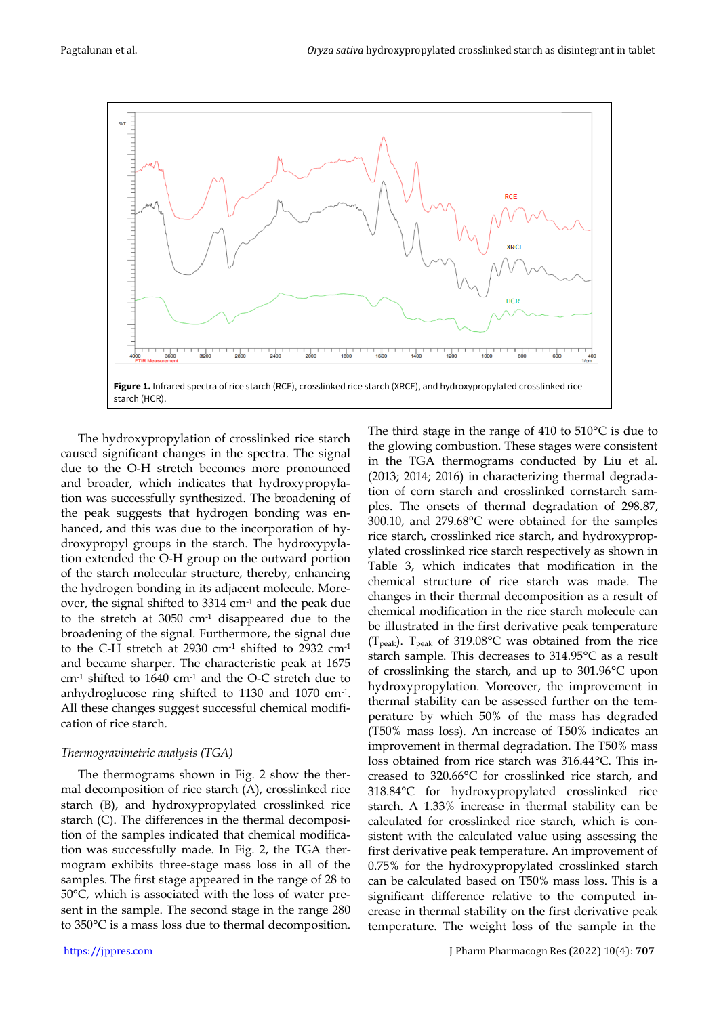

The hydroxypropylation of crosslinked rice starch caused significant changes in the spectra. The signal due to the O-H stretch becomes more pronounced and broader, which indicates that hydroxypropylation was successfully synthesized. The broadening of the peak suggests that hydrogen bonding was enhanced, and this was due to the incorporation of hydroxypropyl groups in the starch. The hydroxypylation extended the O-H group on the outward portion of the starch molecular structure, thereby, enhancing the hydrogen bonding in its adjacent molecule. Moreover, the signal shifted to 3314 cm-1 and the peak due to the stretch at 3050 cm-1 disappeared due to the broadening of the signal. Furthermore, the signal due to the C-H stretch at 2930 cm-1 shifted to 2932 cm-1 and became sharper. The characteristic peak at 1675 cm-1 shifted to 1640 cm-1 and the O-C stretch due to anhydroglucose ring shifted to 1130 and 1070 cm-1 . All these changes suggest successful chemical modification of rice starch.

#### *Thermogravimetric analysis (TGA)*

The thermograms shown in Fig. 2 show the thermal decomposition of rice starch (A), crosslinked rice starch (B), and hydroxypropylated crosslinked rice starch (C). The differences in the thermal decomposition of the samples indicated that chemical modification was successfully made. In Fig. 2, the TGA thermogram exhibits three-stage mass loss in all of the samples. The first stage appeared in the range of 28 to 50°C, which is associated with the loss of water present in the sample. The second stage in the range 280 to 350°C is a mass loss due to thermal decomposition. The third stage in the range of 410 to 510°C is due to the glowing combustion. These stages were consistent in the TGA thermograms conducted by Liu et al. (2013; 2014; 2016) in characterizing thermal degradation of corn starch and crosslinked cornstarch samples. The onsets of thermal degradation of 298.87, 300.10, and 279.68°C were obtained for the samples rice starch, crosslinked rice starch, and hydroxypropylated crosslinked rice starch respectively as shown in Table 3, which indicates that modification in the chemical structure of rice starch was made. The changes in their thermal decomposition as a result of chemical modification in the rice starch molecule can be illustrated in the first derivative peak temperature (T<sub>peak</sub>). T<sub>peak</sub> of 319.08°C was obtained from the rice starch sample. This decreases to 314.95°C as a result of crosslinking the starch, and up to 301.96°C upon hydroxypropylation. Moreover, the improvement in thermal stability can be assessed further on the temperature by which 50% of the mass has degraded (T50% mass loss). An increase of T50% indicates an improvement in thermal degradation. The T50% mass loss obtained from rice starch was 316.44°C. This increased to 320.66°C for crosslinked rice starch, and 318.84°C for hydroxypropylated crosslinked rice starch. A 1.33% increase in thermal stability can be calculated for crosslinked rice starch, which is consistent with the calculated value using assessing the first derivative peak temperature. An improvement of 0.75% for the hydroxypropylated crosslinked starch can be calculated based on T50% mass loss. This is a significant difference relative to the computed increase in thermal stability on the first derivative peak temperature. The weight loss of the sample in the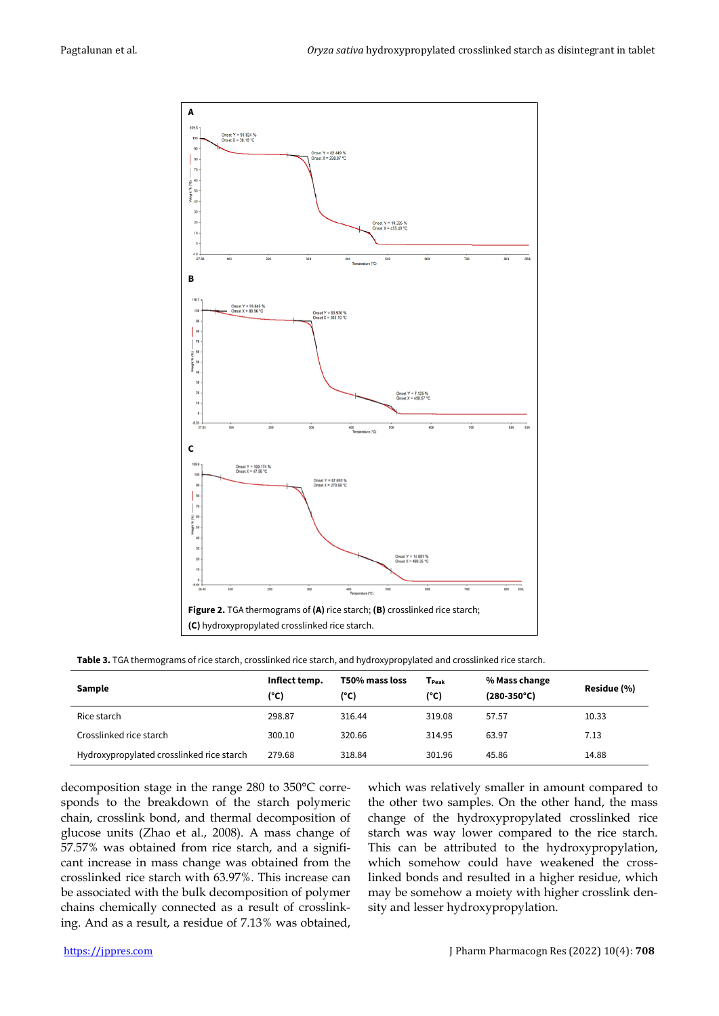

**Table 3.** TGA thermograms of rice starch, crosslinked rice starch, and hydroxypropylated and crosslinked rice starch.

| Sample                                    | Inflect temp.<br>(°C) | T50% mass loss<br>(°C) | T <sub>Peak</sub><br>(°C) | % Mass change<br>$(280-350^{\circ}C)$ | Residue (%) |
|-------------------------------------------|-----------------------|------------------------|---------------------------|---------------------------------------|-------------|
| Rice starch                               | 298.87                | 316.44                 | 319.08                    | 57.57                                 | 10.33       |
| Crosslinked rice starch                   | 300.10                | 320.66                 | 314.95                    | 63.97                                 | 7.13        |
| Hydroxypropylated crosslinked rice starch | 279.68                | 318.84                 | 301.96                    | 45.86                                 | 14.88       |

decomposition stage in the range 280 to 350°C corresponds to the breakdown of the starch polymeric chain, crosslink bond, and thermal decomposition of glucose units (Zhao et al., 2008). A mass change of 57.57% was obtained from rice starch, and a significant increase in mass change was obtained from the crosslinked rice starch with 63.97%. This increase can be associated with the bulk decomposition of polymer chains chemically connected as a result of crosslinking. And as a result, a residue of 7.13% was obtained, which was relatively smaller in amount compared to the other two samples. On the other hand, the mass change of the hydroxypropylated crosslinked rice starch was way lower compared to the rice starch. This can be attributed to the hydroxypropylation, which somehow could have weakened the crosslinked bonds and resulted in a higher residue, which may be somehow a moiety with higher crosslink density and lesser hydroxypropylation.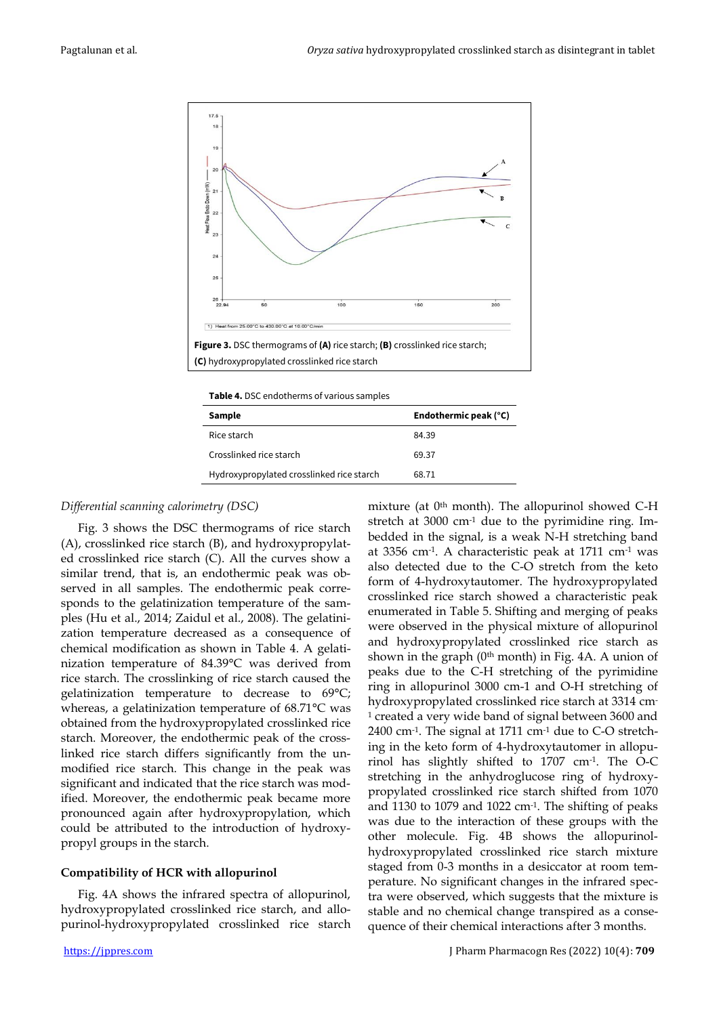

**Table 4.** DSC endotherms of various samples

| Sample                                    | Endothermic peak (°C) |
|-------------------------------------------|-----------------------|
| Rice starch                               | 84.39                 |
| Crosslinked rice starch                   | 69.37                 |
| Hydroxypropylated crosslinked rice starch | 68.71                 |

## *Differential scanning calorimetry (DSC)*

Fig. 3 shows the DSC thermograms of rice starch (A), crosslinked rice starch (B), and hydroxypropylated crosslinked rice starch (C). All the curves show a similar trend, that is, an endothermic peak was observed in all samples. The endothermic peak corresponds to the gelatinization temperature of the samples (Hu et al., 2014; Zaidul et al., 2008). The gelatinization temperature decreased as a consequence of chemical modification as shown in Table 4. A gelatinization temperature of 84.39°C was derived from rice starch. The crosslinking of rice starch caused the gelatinization temperature to decrease to 69°C; whereas, a gelatinization temperature of 68.71°C was obtained from the hydroxypropylated crosslinked rice starch. Moreover, the endothermic peak of the crosslinked rice starch differs significantly from the unmodified rice starch. This change in the peak was significant and indicated that the rice starch was modified. Moreover, the endothermic peak became more pronounced again after hydroxypropylation, which could be attributed to the introduction of hydroxypropyl groups in the starch.

# **Compatibility of HCR with allopurinol**

Fig. 4A shows the infrared spectra of allopurinol, hydroxypropylated crosslinked rice starch, and allopurinol-hydroxypropylated crosslinked rice starch mixture (at 0<sup>th</sup> month). The allopurinol showed C-H stretch at 3000 cm<sup>-1</sup> due to the pyrimidine ring. Imbedded in the signal, is a weak N-H stretching band at 3356 cm-1 . A characteristic peak at 1711 cm-1 was also detected due to the C-O stretch from the keto form of 4-hydroxytautomer. The hydroxypropylated crosslinked rice starch showed a characteristic peak enumerated in Table 5. Shifting and merging of peaks were observed in the physical mixture of allopurinol and hydroxypropylated crosslinked rice starch as shown in the graph  $(0<sup>th</sup>$  month) in Fig. 4A. A union of peaks due to the C-H stretching of the pyrimidine ring in allopurinol 3000 cm-1 and O-H stretching of hydroxypropylated crosslinked rice starch at 3314 cm-<sup>1</sup> created a very wide band of signal between 3600 and 2400 cm-1 . The signal at 1711 cm-1 due to C-O stretching in the keto form of 4-hydroxytautomer in allopurinol has slightly shifted to 1707 cm-1 . The O-C stretching in the anhydroglucose ring of hydroxypropylated crosslinked rice starch shifted from 1070 and 1130 to 1079 and 1022 cm-1 . The shifting of peaks was due to the interaction of these groups with the other molecule. Fig. 4B shows the allopurinolhydroxypropylated crosslinked rice starch mixture staged from 0-3 months in a desiccator at room temperature. No significant changes in the infrared spectra were observed, which suggests that the mixture is stable and no chemical change transpired as a consequence of their chemical interactions after 3 months.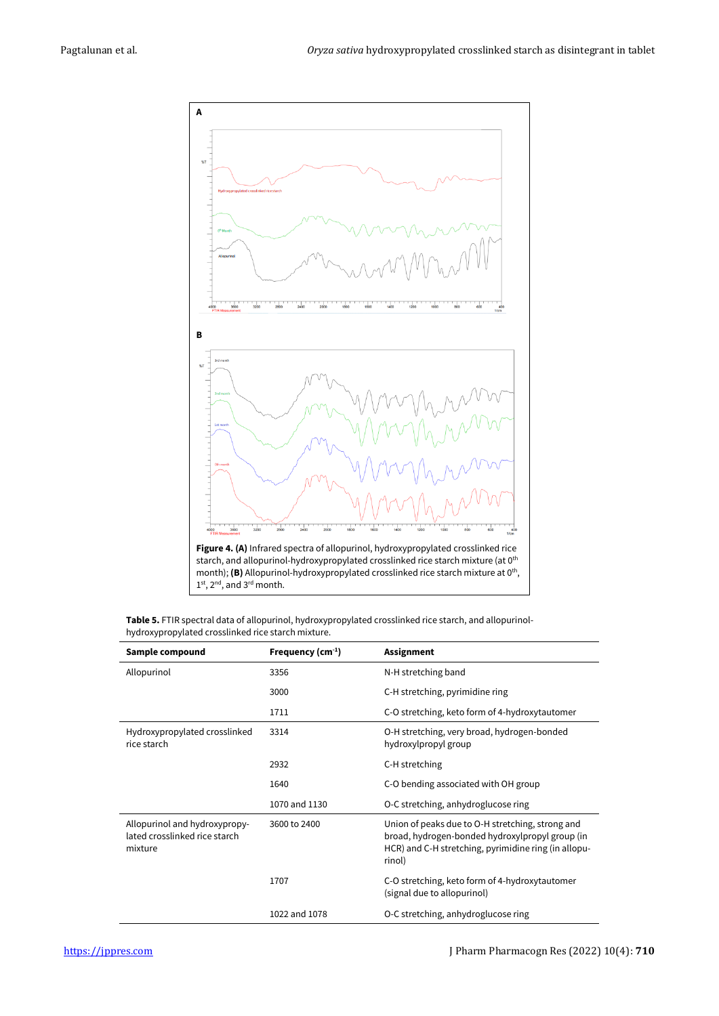

**Table 5.** FTIR spectral data of allopurinol, hydroxypropylated crosslinked rice starch, and allopurinolhydroxypropylated crosslinked rice starch mixture.

| Sample compound                                                           | Frequency $(cm-1)$ | <b>Assignment</b>                                                                                                                                                     |
|---------------------------------------------------------------------------|--------------------|-----------------------------------------------------------------------------------------------------------------------------------------------------------------------|
| Allopurinol                                                               | 3356               | N-H stretching band                                                                                                                                                   |
|                                                                           | 3000               | C-H stretching, pyrimidine ring                                                                                                                                       |
|                                                                           | 1711               | C-O stretching, keto form of 4-hydroxytautomer                                                                                                                        |
| Hydroxypropylated crosslinked<br>rice starch                              | 3314               | O-H stretching, very broad, hydrogen-bonded<br>hydroxylpropyl group                                                                                                   |
|                                                                           | 2932               | C-H stretching                                                                                                                                                        |
|                                                                           | 1640               | C-O bending associated with OH group                                                                                                                                  |
|                                                                           | 1070 and 1130      | O-C stretching, anhydroglucose ring                                                                                                                                   |
| Allopurinol and hydroxypropy-<br>lated crosslinked rice starch<br>mixture | 3600 to 2400       | Union of peaks due to O-H stretching, strong and<br>broad, hydrogen-bonded hydroxylpropyl group (in<br>HCR) and C-H stretching, pyrimidine ring (in allopu-<br>rinol) |
|                                                                           | 1707               | C-O stretching, keto form of 4-hydroxytautomer<br>(signal due to allopurinol)                                                                                         |
|                                                                           | 1022 and 1078      | O-C stretching, anhydroglucose ring                                                                                                                                   |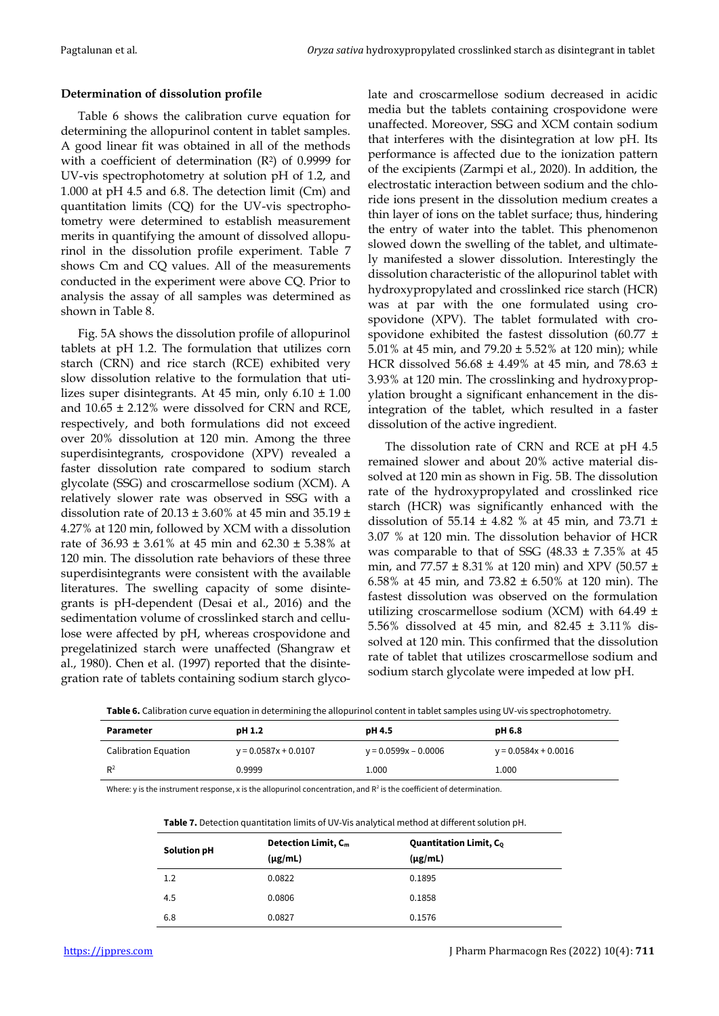## **Determination of dissolution profile**

Table 6 shows the calibration curve equation for determining the allopurinol content in tablet samples. A good linear fit was obtained in all of the methods with a coefficient of determination (R<sup>2</sup> ) of 0.9999 for UV-vis spectrophotometry at solution pH of 1.2, and 1.000 at pH 4.5 and 6.8. The detection limit (Cm) and quantitation limits (CQ) for the UV-vis spectrophotometry were determined to establish measurement merits in quantifying the amount of dissolved allopurinol in the dissolution profile experiment. Table 7 shows Cm and CQ values. All of the measurements conducted in the experiment were above CQ. Prior to analysis the assay of all samples was determined as shown in Table 8.

Fig. 5A shows the dissolution profile of allopurinol tablets at pH 1.2. The formulation that utilizes corn starch (CRN) and rice starch (RCE) exhibited very slow dissolution relative to the formulation that utilizes super disintegrants. At 45 min, only 6.10 ± 1.00 and 10.65 ± 2.12% were dissolved for CRN and RCE, respectively, and both formulations did not exceed over 20% dissolution at 120 min. Among the three superdisintegrants, crospovidone (XPV) revealed a faster dissolution rate compared to sodium starch glycolate (SSG) and croscarmellose sodium (XCM). A relatively slower rate was observed in SSG with a dissolution rate of  $20.13 \pm 3.60\%$  at 45 min and 35.19  $\pm$ 4.27% at 120 min, followed by XCM with a dissolution rate of  $36.93 \pm 3.61\%$  at 45 min and  $62.30 \pm 5.38\%$  at 120 min. The dissolution rate behaviors of these three superdisintegrants were consistent with the available literatures. The swelling capacity of some disintegrants is pH-dependent (Desai et al., 2016) and the sedimentation volume of crosslinked starch and cellulose were affected by pH, whereas crospovidone and pregelatinized starch were unaffected (Shangraw et al., 1980). Chen et al. (1997) reported that the disintegration rate of tablets containing sodium starch glycolate and croscarmellose sodium decreased in acidic media but the tablets containing crospovidone were unaffected. Moreover, SSG and XCM contain sodium that interferes with the disintegration at low pH. Its performance is affected due to the ionization pattern of the excipients (Zarmpi et al., 2020). In addition, the electrostatic interaction between sodium and the chloride ions present in the dissolution medium creates a thin layer of ions on the tablet surface; thus, hindering the entry of water into the tablet. This phenomenon slowed down the swelling of the tablet, and ultimately manifested a slower dissolution. Interestingly the dissolution characteristic of the allopurinol tablet with hydroxypropylated and crosslinked rice starch (HCR) was at par with the one formulated using crospovidone (XPV). The tablet formulated with crospovidone exhibited the fastest dissolution (60.77  $\pm$ 5.01% at 45 min, and 79.20 ± 5.52% at 120 min); while HCR dissolved 56.68 ± 4.49% at 45 min, and 78.63 ± 3.93% at 120 min. The crosslinking and hydroxypropylation brought a significant enhancement in the disintegration of the tablet, which resulted in a faster dissolution of the active ingredient.

The dissolution rate of CRN and RCE at pH 4.5 remained slower and about 20% active material dissolved at 120 min as shown in Fig. 5B. The dissolution rate of the hydroxypropylated and crosslinked rice starch (HCR) was significantly enhanced with the dissolution of 55.14  $\pm$  4.82 % at 45 min, and 73.71  $\pm$ 3.07 % at 120 min. The dissolution behavior of HCR was comparable to that of SSG  $(48.33 \pm 7.35\%$  at 45 min, and 77.57 ± 8.31% at 120 min) and XPV (50.57 ± 6.58% at 45 min, and 73.82  $\pm$  6.50% at 120 min). The fastest dissolution was observed on the formulation utilizing croscarmellose sodium (XCM) with 64.49 ± 5.56% dissolved at 45 min, and 82.45 ± 3.11% dissolved at 120 min. This confirmed that the dissolution rate of tablet that utilizes croscarmellose sodium and sodium starch glycolate were impeded at low pH.

**Table 6.** Calibration curve equation in determining the allopurinol content in tablet samples using UV-vis spectrophotometry.

| Parameter            | pH 1.2                 | pH 4.5                 | <b>pH 6.8</b>          |
|----------------------|------------------------|------------------------|------------------------|
| Calibration Equation | $y = 0.0587x + 0.0107$ | $y = 0.0599x - 0.0006$ | $y = 0.0584x + 0.0016$ |
| $R^2$                | 0.9999                 | 1.000                  | 1.000                  |

Where: y is the instrument response, x is the allopurinol concentration, and  $R^2$  is the coefficient of determination.

| <b>Table 1.</b> Detection quantitation mints of OV-VIS analytical method at unferent solution pri |                            |                                |  |  |
|---------------------------------------------------------------------------------------------------|----------------------------|--------------------------------|--|--|
|                                                                                                   | <b>Detection Limit, Cm</b> | <b>Quantitation Limit, Co.</b> |  |  |
| Solution pH                                                                                       | $(\mu$ g/mL)               | $(\mu$ g/mL)                   |  |  |
| 1.2                                                                                               | 0.0822                     | 0.1895                         |  |  |
| 4.5                                                                                               | 0.0806                     | 0.1858                         |  |  |
| 6.8                                                                                               | 0.0827                     | 0.1576                         |  |  |

**Table 7.** Detection quantitation limits of UV-Vis analytical method at different solution pH.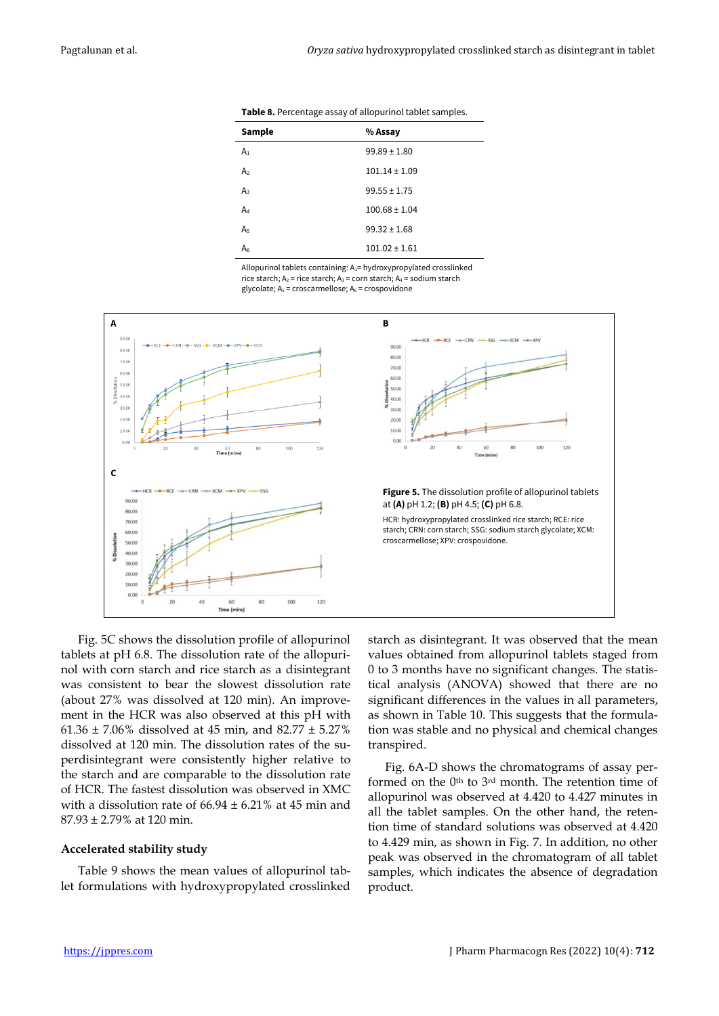| Sample         | % Assay           |
|----------------|-------------------|
| A <sub>1</sub> | $99.89 \pm 1.80$  |
| A <sub>2</sub> | $101.14 \pm 1.09$ |
| $A_3$          | $99.55 \pm 1.75$  |
| A4             | $100.68 \pm 1.04$ |
| A <sub>5</sub> | $99.32 \pm 1.68$  |
| A              | $101.02 \pm 1.61$ |
|                |                   |

**Table 8.** Percentage assay of allopurinol tablet samples.

Allopurinol tablets containing: A<sub>1</sub>= hydroxypropylated crosslinked rice starch:  $A_2$  = rice starch:  $A_3$  = corn starch:  $A_4$  = sodium starch glycolate;  $A_5$  = croscarmellose;  $A_6$  = crospovidone



Fig. 5C shows the dissolution profile of allopurinol tablets at pH 6.8. The dissolution rate of the allopurinol with corn starch and rice starch as a disintegrant was consistent to bear the slowest dissolution rate (about 27% was dissolved at 120 min). An improvement in the HCR was also observed at this pH with 61.36  $\pm$  7.06% dissolved at 45 min, and 82.77  $\pm$  5.27% dissolved at 120 min. The dissolution rates of the superdisintegrant were consistently higher relative to the starch and are comparable to the dissolution rate of HCR. The fastest dissolution was observed in XMC with a dissolution rate of  $66.94 \pm 6.21\%$  at 45 min and 87.93 ± 2.79% at 120 min.

#### **Accelerated stability study**

Table 9 shows the mean values of allopurinol tablet formulations with hydroxypropylated crosslinked starch as disintegrant. It was observed that the mean values obtained from allopurinol tablets staged from 0 to 3 months have no significant changes. The statistical analysis (ANOVA) showed that there are no significant differences in the values in all parameters, as shown in Table 10. This suggests that the formulation was stable and no physical and chemical changes transpired.

Fig. 6A-D shows the chromatograms of assay performed on the  $0<sup>th</sup>$  to  $3<sup>rd</sup>$  month. The retention time of allopurinol was observed at 4.420 to 4.427 minutes in all the tablet samples. On the other hand, the retention time of standard solutions was observed at 4.420 to 4.429 min, as shown in Fig. 7. In addition, no other peak was observed in the chromatogram of all tablet samples, which indicates the absence of degradation product.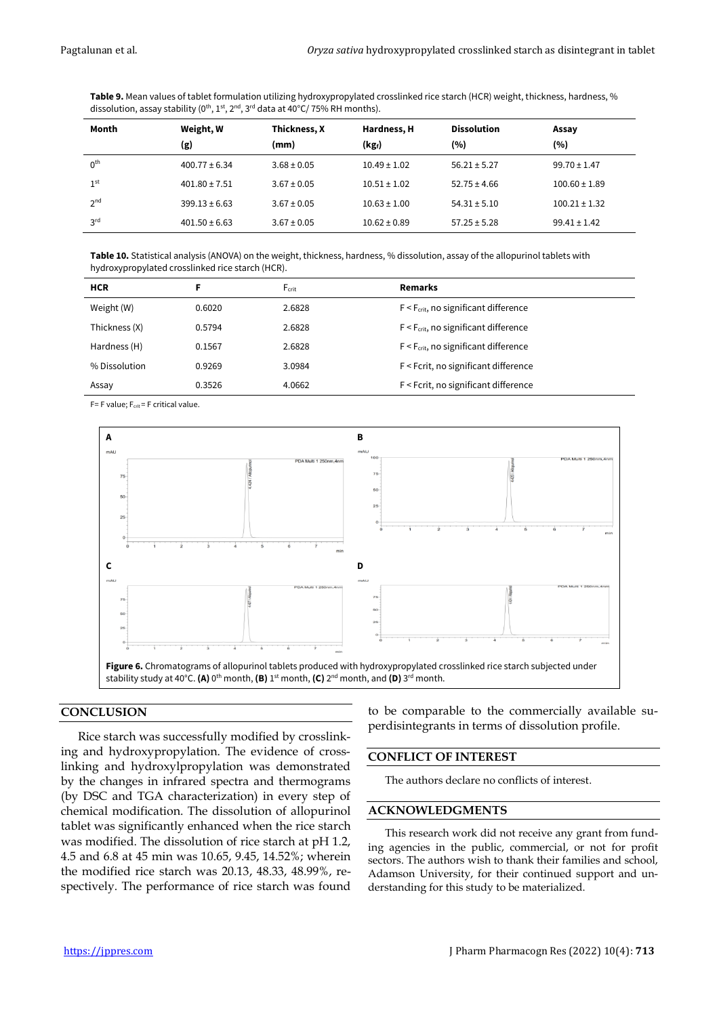**Table 9.** Mean values of tablet formulation utilizing hydroxypropylated crosslinked rice starch (HCR) weight, thickness, hardness, % dissolution, assay stability ( $0^{\text{th}}$ ,  $1^{\text{st}}$ ,  $2^{\text{nd}}$ ,  $3^{\text{rd}}$  data at 40°C/ 75% RH months).

| Month           | Weight, W         | Thickness, X    | <b>Dissolution</b><br>Hardness, H |                  | Assay             |
|-----------------|-------------------|-----------------|-----------------------------------|------------------|-------------------|
|                 | (g)               | (mm)            | $(kg_i)$                          | (%)              | (%)               |
| 0 <sup>th</sup> | $400.77 \pm 6.34$ | $3.68 \pm 0.05$ | $10.49 \pm 1.02$                  | $56.21 \pm 5.27$ | $99.70 \pm 1.47$  |
| 1 <sup>st</sup> | $401.80 \pm 7.51$ | $3.67 \pm 0.05$ | $10.51 \pm 1.02$                  | $52.75 \pm 4.66$ | $100.60 \pm 1.89$ |
| 2 <sub>nd</sub> | $399.13 \pm 6.63$ | $3.67 \pm 0.05$ | $10.63 \pm 1.00$                  | $54.31 \pm 5.10$ | $100.21 \pm 1.32$ |
| 3 <sup>rd</sup> | $401.50 \pm 6.63$ | $3.67 \pm 0.05$ | $10.62 \pm 0.89$                  | $57.25 \pm 5.28$ | $99.41 \pm 1.42$  |

**Table 10.** Statistical analysis (ANOVA) on the weight, thickness, hardness, % dissolution, assay of the allopurinol tablets with hydroxypropylated crosslinked rice starch (HCR).

| <b>HCR</b>    | F      | $F_{\text{crit}}$ | <b>Remarks</b>                             |
|---------------|--------|-------------------|--------------------------------------------|
| Weight (W)    | 0.6020 | 2.6828            | $F < F_{crit}$ , no significant difference |
| Thickness (X) | 0.5794 | 2.6828            | $F < F_{crit}$ , no significant difference |
| Hardness (H)  | 0.1567 | 2.6828            | $F < F_{crit}$ , no significant difference |
| % Dissolution | 0.9269 | 3.0984            | F < Fcrit, no significant difference       |
| Assay         | 0.3526 | 4.0662            | F < Fcrit, no significant difference       |

 $F = F$  value;  $F_{crit} = F$  critical value.



## **CONCLUSION**

Rice starch was successfully modified by crosslinking and hydroxypropylation. The evidence of crosslinking and hydroxylpropylation was demonstrated by the changes in infrared spectra and thermograms (by DSC and TGA characterization) in every step of chemical modification. The dissolution of allopurinol tablet was significantly enhanced when the rice starch was modified. The dissolution of rice starch at pH 1.2, 4.5 and 6.8 at 45 min was 10.65, 9.45, 14.52%; wherein the modified rice starch was 20.13, 48.33, 48.99%, respectively. The performance of rice starch was found to be comparable to the commercially available superdisintegrants in terms of dissolution profile.

#### **CONFLICT OF INTEREST**

The authors declare no conflicts of interest.

## **ACKNOWLEDGMENTS**

This research work did not receive any grant from funding agencies in the public, commercial, or not for profit sectors. The authors wish to thank their families and school, Adamson University, for their continued support and understanding for this study to be materialized.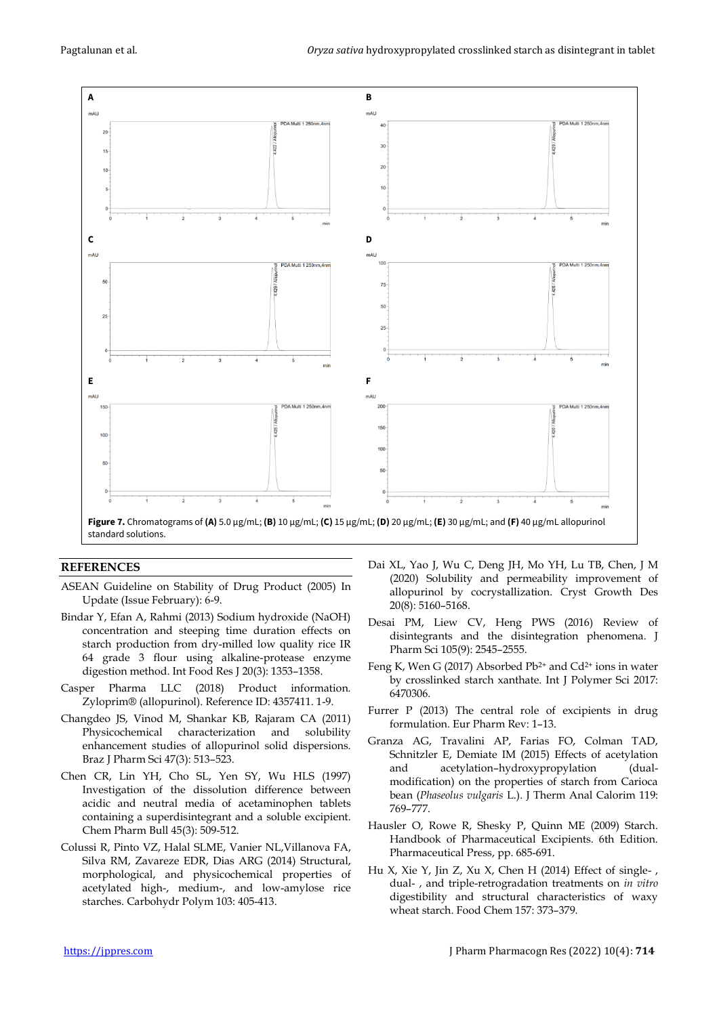

## **REFERENCES**

ASEAN Guideline on Stability of Drug Product (2005) In Update (Issue February): 6-9.

- Bindar Y, Efan A, Rahmi (2013) Sodium hydroxide (NaOH) concentration and steeping time duration effects on starch production from dry-milled low quality rice IR 64 grade 3 flour using alkaline-protease enzyme digestion method. Int Food Res J 20(3): 1353–1358.
- Casper Pharma LLC (2018) Product information. Zyloprim® (allopurinol). Reference ID: 4357411. 1-9.
- Changdeo JS, Vinod M, Shankar KB, Rajaram CA (2011) Physicochemical characterization and solubility enhancement studies of allopurinol solid dispersions. Braz J Pharm Sci 47(3): 513–523.
- Chen CR, Lin YH, Cho SL, Yen SY, Wu HLS (1997) Investigation of the dissolution difference between acidic and neutral media of acetaminophen tablets containing a superdisintegrant and a soluble excipient. Chem Pharm Bull 45(3): 509-512.
- Colussi R, Pinto VZ, Halal SLME, Vanier NL,Villanova FA, Silva RM, Zavareze EDR, Dias ARG (2014) Structural, morphological, and physicochemical properties of acetylated high-, medium-, and low-amylose rice starches. Carbohydr Polym 103: 405-413.
- Dai XL, Yao J, Wu C, Deng JH, Mo YH, Lu TB, Chen, J M (2020) Solubility and permeability improvement of allopurinol by cocrystallization. Cryst Growth Des 20(8): 5160–5168.
- Desai PM, Liew CV, Heng PWS (2016) Review of disintegrants and the disintegration phenomena. J Pharm Sci 105(9): 2545–2555.
- Feng K, Wen G (2017) Absorbed  $Pb^{2+}$  and  $Cd^{2+}$  ions in water by crosslinked starch xanthate. Int J Polymer Sci 2017: 6470306.
- Furrer P (2013) The central role of excipients in drug formulation. Eur Pharm Rev: 1–13.
- Granza AG, Travalini AP, Farias FO, Colman TAD, Schnitzler E, Demiate IM (2015) Effects of acetylation and acetylation–hydroxypropylation (dualmodification) on the properties of starch from Carioca bean (*Phaseolus vulgaris* L.). J Therm Anal Calorim 119: 769–777.
- Hausler O, Rowe R, Shesky P, Quinn ME (2009) Starch. Handbook of Pharmaceutical Excipients. 6th Edition. Pharmaceutical Press, pp. 685-691.
- Hu X, Xie Y, Jin Z, Xu X, Chen H (2014) Effect of single- , dual- , and triple-retrogradation treatments on *in vitro* digestibility and structural characteristics of waxy wheat starch. Food Chem 157: 373–379.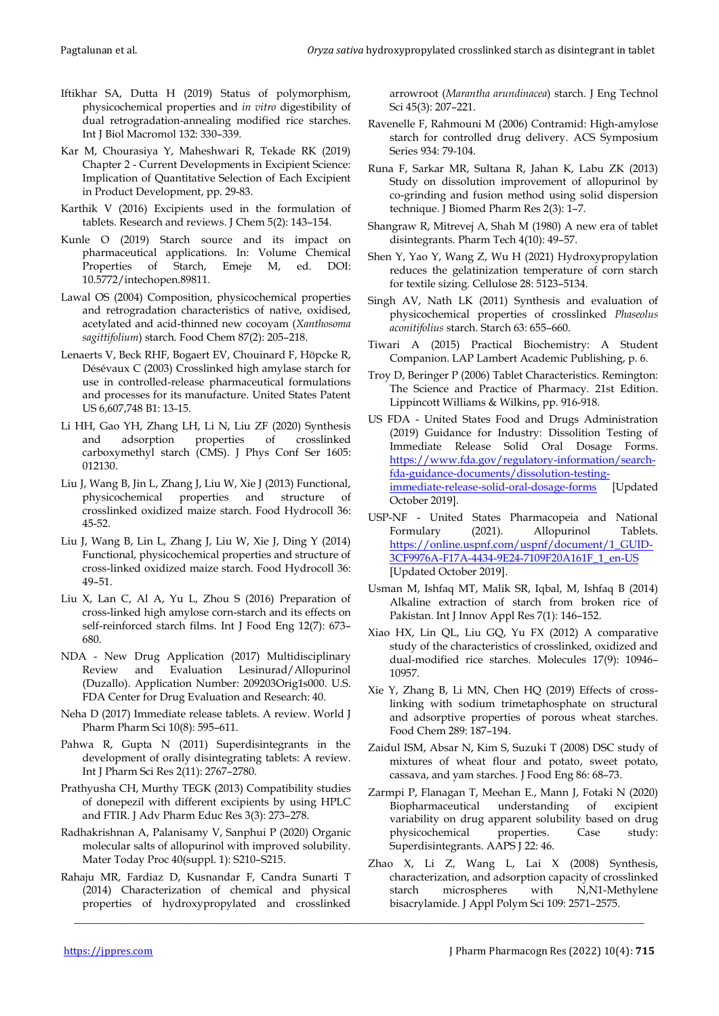- Iftikhar SA, Dutta H (2019) Status of polymorphism, physicochemical properties and *in vitro* digestibility of dual retrogradation-annealing modified rice starches. Int J Biol Macromol 132: 330–339.
- Kar M, Chourasiya Y, Maheshwari R, Tekade RK (2019) Chapter 2 - Current Developments in Excipient Science: Implication of Quantitative Selection of Each Excipient in Product Development, pp. 29-83.
- Karthik V (2016) Excipients used in the formulation of tablets. Research and reviews. J Chem 5(2): 143–154.
- Kunle O (2019) Starch source and its impact on pharmaceutical applications. In: Volume Chemical Properties of Starch, Emeje M, ed. DOI: 10.5772/intechopen.89811.
- Lawal OS (2004) Composition, physicochemical properties and retrogradation characteristics of native, oxidised, acetylated and acid-thinned new cocoyam (*Xanthosoma sagittifolium*) starch. Food Chem 87(2): 205–218.
- Lenaerts V, Beck RHF, Bogaert EV, Chouinard F, Höpcke R, Désévaux C (2003) Crosslinked high amylase starch for use in controlled-release pharmaceutical formulations and processes for its manufacture. United States Patent US 6,607,748 B1: 13-15.
- Li HH, Gao YH, Zhang LH, Li N, Liu ZF (2020) Synthesis and adsorption properties of crosslinked carboxymethyl starch (CMS). J Phys Conf Ser 1605: 012130.
- Liu J, Wang B, Jin L, Zhang J, Liu W, Xie J (2013) Functional, physicochemical properties and structure of crosslinked oxidized maize starch. Food Hydrocoll 36: 45-52.
- Liu J, Wang B, Lin L, Zhang J, Liu W, Xie J, Ding Y (2014) Functional, physicochemical properties and structure of cross-linked oxidized maize starch. Food Hydrocoll 36: 49–51.
- Liu X, Lan C, Al A, Yu L, Zhou S (2016) Preparation of cross-linked high amylose corn-starch and its effects on self-reinforced starch films. Int J Food Eng 12(7): 673– 680.
- NDA New Drug Application (2017) Multidisciplinary Review and Evaluation Lesinurad/Allopurinol (Duzallo). Application Number: 209203Orig1s000. U.S. FDA Center for Drug Evaluation and Research: 40.
- Neha D (2017) Immediate release tablets. A review. World J Pharm Pharm Sci 10(8): 595–611.
- Pahwa R, Gupta N (2011) Superdisintegrants in the development of orally disintegrating tablets: A review. Int J Pharm Sci Res 2(11): 2767–2780.
- Prathyusha CH, Murthy TEGK (2013) Compatibility studies of donepezil with different excipients by using HPLC and FTIR. J Adv Pharm Educ Res 3(3): 273–278.
- Radhakrishnan A, Palanisamy V, Sanphui P (2020) Organic molecular salts of allopurinol with improved solubility. Mater Today Proc 40(suppl. 1): S210–S215.
- Rahaju MR, Fardiaz D, Kusnandar F, Candra Sunarti T (2014) Characterization of chemical and physical properties of hydroxypropylated and crosslinked

\_\_\_\_\_\_\_\_\_\_\_\_\_\_\_\_\_\_\_\_\_\_\_\_\_\_\_\_\_\_\_\_\_\_\_\_\_\_\_\_\_\_\_\_\_\_\_\_\_\_\_\_\_\_\_\_\_\_\_\_\_\_\_\_\_\_\_\_\_\_\_\_\_\_\_\_\_\_\_\_\_\_\_\_\_\_\_\_\_\_\_\_\_\_\_\_\_\_\_\_\_\_\_\_\_

arrowroot (*Marantha arundinacea*) starch. J Eng Technol Sci 45(3): 207–221.

- Ravenelle F, Rahmouni M (2006) Contramid: High-amylose starch for controlled drug delivery. ACS Symposium Series 934: 79-104.
- Runa F, Sarkar MR, Sultana R, Jahan K, Labu ZK (2013) Study on dissolution improvement of allopurinol by co-grinding and fusion method using solid dispersion technique. J Biomed Pharm Res 2(3): 1–7.
- Shangraw R, Mitrevej A, Shah M (1980) A new era of tablet disintegrants. Pharm Tech 4(10): 49–57.
- Shen Y, Yao Y, Wang Z, Wu H (2021) Hydroxypropylation reduces the gelatinization temperature of corn starch for textile sizing. Cellulose 28: 5123–5134.
- Singh AV, Nath LK (2011) Synthesis and evaluation of physicochemical properties of crosslinked *Phaseolus aconitifolius* starch. Starch 63: 655–660.
- Tiwari A (2015) Practical Biochemistry: A Student Companion. LAP Lambert Academic Publishing, p. 6.
- Troy D, Beringer P (2006) Tablet Characteristics. Remington: The Science and Practice of Pharmacy. 21st Edition. Lippincott Williams & Wilkins, pp. 916-918.
- US FDA United States Food and Drugs Administration (2019) Guidance for Industry: Dissolition Testing of Immediate Release Solid Oral Dosage Forms. [https://www.fda.gov/regulatory-information/search](https://www.fda.gov/regulatory-information/search-fda-guidance-documents/dissolution-testing-immediate-release-solid-oral-dosage-forms)[fda-guidance-documents/dissolution-testing](https://www.fda.gov/regulatory-information/search-fda-guidance-documents/dissolution-testing-immediate-release-solid-oral-dosage-forms)[immediate-release-solid-oral-dosage-forms](https://www.fda.gov/regulatory-information/search-fda-guidance-documents/dissolution-testing-immediate-release-solid-oral-dosage-forms) [Updated October 2019].
- USP-NF United States Pharmacopeia and National Formulary (2021). Allopurinol Tablets. [https://online.uspnf.com/uspnf/document/1\\_GUID-](https://online.uspnf.com/uspnf/document/1_GUID-3CF9976A-F17A-4434-9E24-7109F20A161F_1_en-US)[3CF9976A-F17A-4434-9E24-7109F20A161F\\_1\\_en-US](https://online.uspnf.com/uspnf/document/1_GUID-3CF9976A-F17A-4434-9E24-7109F20A161F_1_en-US) [Updated October 2019].
- Usman M, Ishfaq MT, Malik SR, Iqbal, M, Ishfaq B (2014) Alkaline extraction of starch from broken rice of Pakistan. Int J Innov Appl Res 7(1): 146–152.
- Xiao HX, Lin QL, Liu GQ, Yu FX (2012) A comparative study of the characteristics of crosslinked, oxidized and dual-modified rice starches. Molecules 17(9): 10946– 10957.
- Xie Y, Zhang B, Li MN, Chen HQ (2019) Effects of crosslinking with sodium trimetaphosphate on structural and adsorptive properties of porous wheat starches. Food Chem 289: 187–194.
- Zaidul ISM, Absar N, Kim S, Suzuki T (2008) DSC study of mixtures of wheat flour and potato, sweet potato, cassava, and yam starches. J Food Eng 86: 68–73.
- Zarmpi P, Flanagan T, Meehan E., Mann J, Fotaki N (2020) Biopharmaceutical understanding of excipient variability on drug apparent solubility based on drug physicochemical properties. Case study: Superdisintegrants. AAPS J 22: 46.
- Zhao X, Li Z, Wang L, Lai X (2008) Synthesis, characterization, and adsorption capacity of crosslinked starch microspheres with N,N1-Methylene bisacrylamide. J Appl Polym Sci 109: 2571–2575.